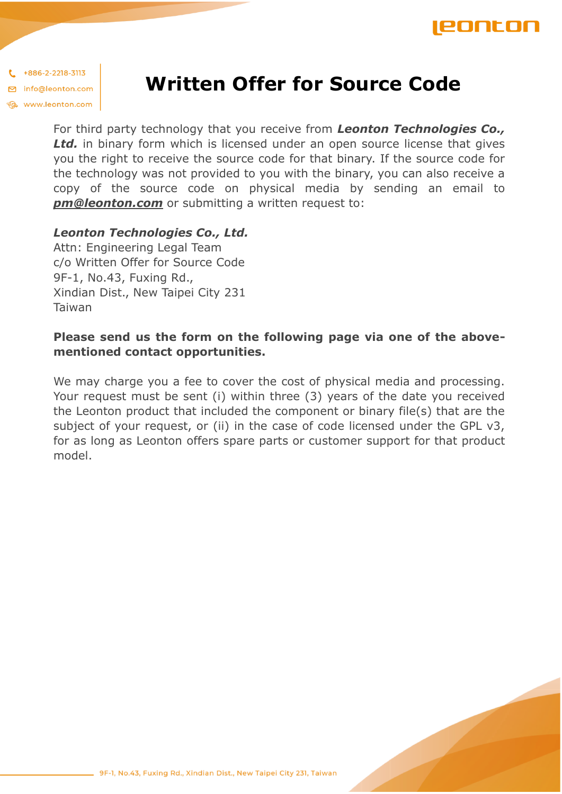

 $*886-2-2218-3113$ □ info@leonton.com www.leonton.com

## **Written Offer for Source Code**

For third party technology that you receive from *Leonton Technologies Co., Ltd.* in binary form which is licensed under an open source license that gives you the right to receive the source code for that binary. If the source code for the technology was not provided to you with the binary, you can also receive a copy of the source code on physical media by sending an email to *pm@leonton.com* or submitting a written request to:

## *Leonton Technologies Co., Ltd.*

Attn: Engineering Legal Team c/o Written Offer for Source Code 9F-1, No.43, Fuxing Rd., Xindian Dist., New Taipei City 231 Taiwan

## **Please send us the form on the following page via one of the abovementioned contact opportunities.**

We may charge you a fee to cover the cost of physical media and processing. Your request must be sent (i) within three (3) years of the date you received the Leonton product that included the component or binary file(s) that are the subject of your request, or (ii) in the case of code licensed under the GPL v3, for as long as Leonton offers spare parts or customer support for that product model.